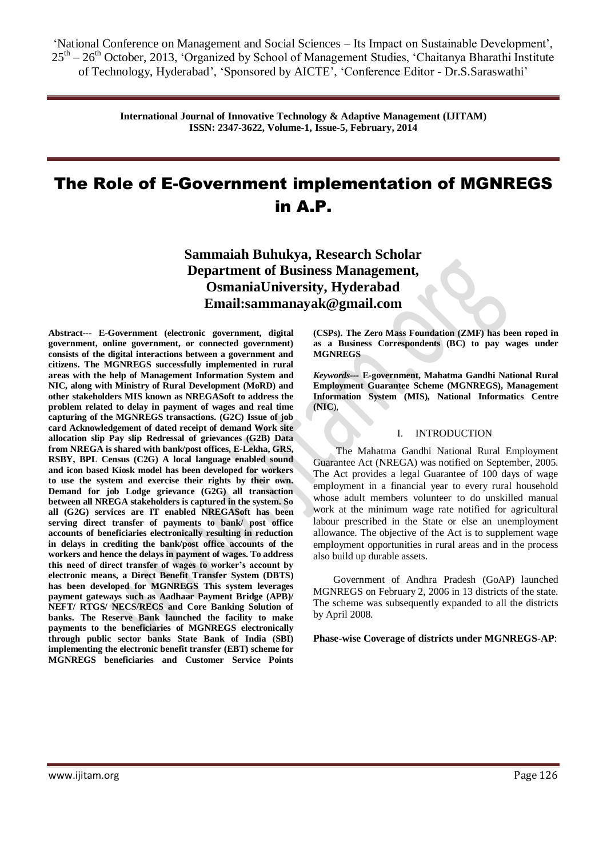> **International Journal of Innovative Technology & Adaptive Management (IJITAM) ISSN: 2347-3622, Volume-1, Issue-5, February, 2014**

# The Role of E-Government implementation of MGNREGS in A.P.

**Sammaiah Buhukya, Research Scholar Department of Business Management, OsmaniaUniversity, Hyderabad Email:sammanayak@gmail.com**

**Abstract--- E-Government (electronic government, digital government, online government, or connected government) consists of the digital interactions between a government and citizens. The MGNREGS successfully implemented in rural areas with the help of Management Information System and NIC, along with Ministry of Rural Development (MoRD) and other stakeholders MIS known as NREGASoft to address the problem related to delay in payment of wages and real time capturing of the MGNREGS transactions. (G2C) Issue of job card Acknowledgement of dated receipt of demand Work site allocation slip Pay slip Redressal of grievances (G2B) Data from NREGA is shared with bank/post offices, E-Lekha, GRS, RSBY, BPL Census (C2G) A local language enabled sound and icon based Kiosk model has been developed for workers to use the system and exercise their rights by their own. Demand for job Lodge grievance (G2G) all transaction between all NREGA stakeholders is captured in the system. So all (G2G) services are IT enabled NREGASoft has been serving direct transfer of payments to bank/ post office accounts of beneficiaries electronically resulting in reduction in delays in crediting the bank/post office accounts of the workers and hence the delays in payment of wages. To address this need of direct transfer of wages to worker's account by electronic means, a Direct Benefit Transfer System (DBTS) has been developed for MGNREGS This system leverages payment gateways such as Aadhaar Payment Bridge (APB)/ NEFT/ RTGS/ NECS/RECS and Core Banking Solution of banks. The Reserve Bank launched the facility to make payments to the beneficiaries of MGNREGS electronically through public sector banks State Bank of India (SBI) implementing the electronic benefit transfer (EBT) scheme for MGNREGS beneficiaries and Customer Service Points** 

**(CSPs). The Zero Mass Foundation (ZMF) has been roped in as a Business Correspondents (BC) to pay wages under MGNREGS**

*Keywords---* **E-government, Mahatma Gandhi National Rural Employment Guarantee Scheme (MGNREGS), Management Information System (MIS), National Informatics Centre (NIC**),

#### I. INTRODUCTION

 The Mahatma Gandhi National Rural Employment Guarantee Act (NREGA) was notified on September, 2005. The Act provides a legal Guarantee of 100 days of wage employment in a financial year to every rural household whose adult members volunteer to do unskilled manual work at the minimum wage rate notified for agricultural labour prescribed in the State or else an unemployment allowance. The objective of the Act is to supplement wage employment opportunities in rural areas and in the process also build up durable assets.

 Government of Andhra Pradesh (GoAP) launched MGNREGS on February 2, 2006 in 13 districts of the state. The scheme was subsequently expanded to all the districts by April 2008.

**Phase-wise Coverage of districts under MGNREGS-AP**: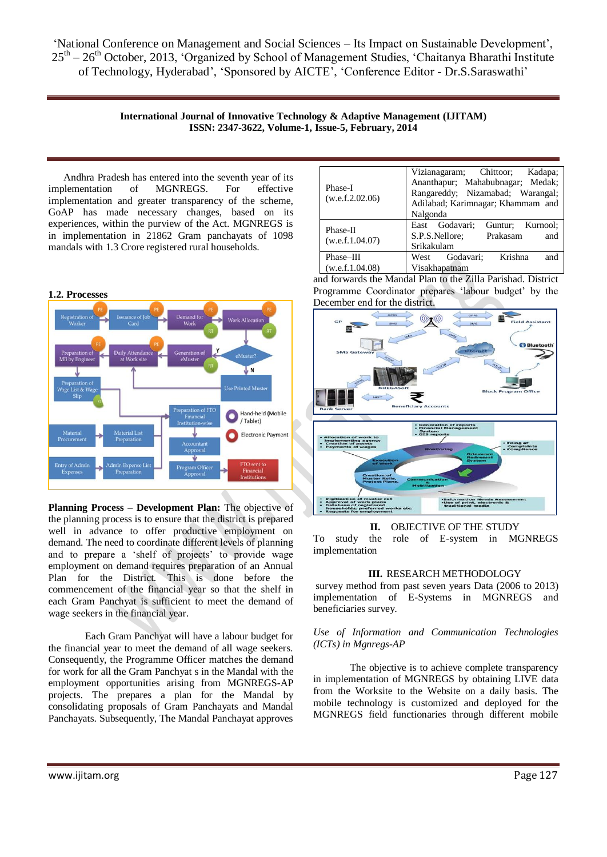> **International Journal of Innovative Technology & Adaptive Management (IJITAM) ISSN: 2347-3622, Volume-1, Issue-5, February, 2014**

 Andhra Pradesh has entered into the seventh year of its implementation of MGNREGS. For effective implementation and greater transparency of the scheme, GoAP has made necessary changes, based on its experiences, within the purview of the Act. MGNREGS is in implementation in 21862 Gram panchayats of 1098 mandals with 1.3 Crore registered rural households.



**Planning Process – Development Plan:** The objective of the planning process is to ensure that the district is prepared well in advance to offer productive employment on demand. The need to coordinate different levels of planning and to prepare a 'shelf of projects' to provide wage employment on demand requires preparation of an Annual<br>Plan for the District. This is done before the This is done before the commencement of the financial year so that the shelf in each Gram Panchyat is sufficient to meet the demand of wage seekers in the financial year.

Each Gram Panchyat will have a labour budget for the financial year to meet the demand of all wage seekers. Consequently, the Programme Officer matches the demand for work for all the Gram Panchyat s in the Mandal with the employment opportunities arising from MGNREGS-AP projects. The prepares a plan for the Mandal by consolidating proposals of Gram Panchayats and Mandal Panchayats. Subsequently, The Mandal Panchayat approves

| Phase-I<br>(w.e.f.2.02.06)   | Vizianagaram; Chittoor; Kadapa;<br>Ananthapur; Mahabubnagar; Medak;<br>Rangareddy; Nizamabad; Warangal;<br>Adilabad; Karimnagar; Khammam and<br>Nalgonda |
|------------------------------|----------------------------------------------------------------------------------------------------------------------------------------------------------|
| Phase-II<br>(w.e.f.1.04.07)  | East Godavari;<br>Guntur; Kurnool;<br>S.P.S.Nellore; Prakasam<br>and<br>Srikakulam                                                                       |
| Phase-III<br>(w.e.f.1.04.08) | West Godavari; Krishna<br>and<br>Visakhapatnam                                                                                                           |

and forwards the Mandal Plan to the Zilla Parishad. District Programme Coordinator prepares 'labour budget' by the December end for the district.



**II.** OBJECTIVE OF THE STUDY

To study the role of E-system in MGNREGS implementation

## **III.** RESEARCH METHODOLOGY

survey method from past seven years Data (2006 to 2013) implementation of E-Systems in MGNREGS and beneficiaries survey.

## *Use of Information and Communication Technologies (ICTs) in Mgnregs-AP*

The objective is to achieve complete transparency in implementation of MGNREGS by obtaining LIVE data from the Worksite to the Website on a daily basis. The mobile technology is customized and deployed for the MGNREGS field functionaries through different mobile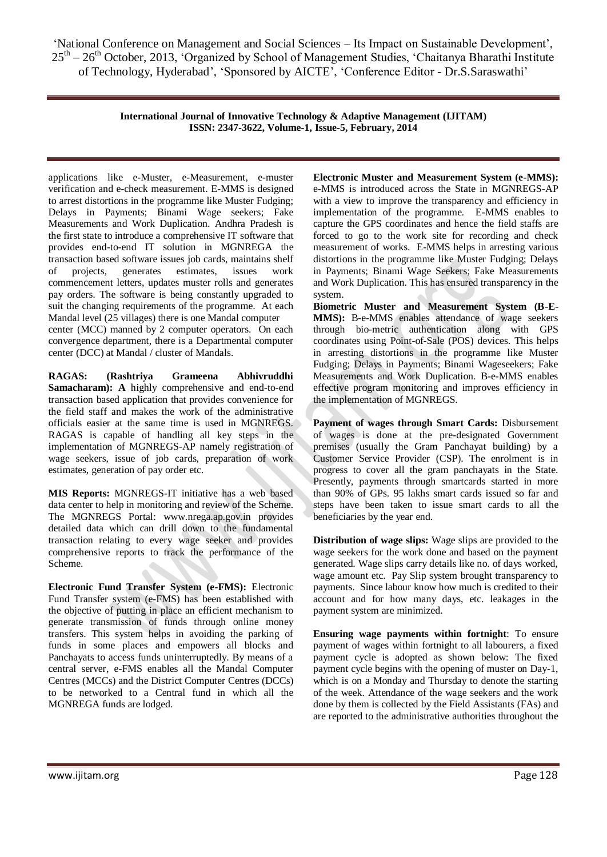> **International Journal of Innovative Technology & Adaptive Management (IJITAM) ISSN: 2347-3622, Volume-1, Issue-5, February, 2014**

applications like e-Muster, e-Measurement, e-muster verification and e-check measurement. E-MMS is designed to arrest distortions in the programme like Muster Fudging; Delays in Payments; Binami Wage seekers; Fake Measurements and Work Duplication. Andhra Pradesh is the first state to introduce a comprehensive IT software that provides end-to-end IT solution in MGNREGA the transaction based software issues job cards, maintains shelf of projects, generates estimates, issues work commencement letters, updates muster rolls and generates pay orders. The software is being constantly upgraded to suit the changing requirements of the programme. At each Mandal level (25 villages) there is one Mandal computer center (MCC) manned by 2 computer operators. On each

convergence department, there is a Departmental computer center (DCC) at Mandal / cluster of Mandals.

**RAGAS: (Rashtriya Grameena Abhivruddhi Samacharam): A** highly comprehensive and end-to-end transaction based application that provides convenience for the field staff and makes the work of the administrative officials easier at the same time is used in MGNREGS. RAGAS is capable of handling all key steps in the implementation of MGNREGS-AP namely registration of wage seekers, issue of job cards, preparation of work estimates, generation of pay order etc.

**MIS Reports:** MGNREGS-IT initiative has a web based data center to help in monitoring and review of the Scheme. The MGNREGS Portal: [www.nrega.ap.gov.in](http://www.nrega.ap.gov.in/) provides detailed data which can drill down to the fundamental transaction relating to every wage seeker and provides comprehensive reports to track the performance of the Scheme.

**Electronic Fund Transfer System (e-FMS):** Electronic Fund Transfer system (e-FMS) has been established with the objective of putting in place an efficient mechanism to generate transmission of funds through online money transfers. This system helps in avoiding the parking of funds in some places and empowers all blocks and Panchayats to access funds uninterruptedly. By means of a central server, e-FMS enables all the Mandal Computer Centres (MCCs) and the District Computer Centres (DCCs) to be networked to a Central fund in which all the MGNREGA funds are lodged.

**Electronic Muster and Measurement System (e-MMS):** e-MMS is introduced across the State in MGNREGS-AP with a view to improve the transparency and efficiency in implementation of the programme. E-MMS enables to capture the GPS coordinates and hence the field staffs are forced to go to the work site for recording and check measurement of works. E-MMS helps in arresting various distortions in the programme like Muster Fudging; Delays in Payments; Binami Wage Seekers; Fake Measurements and Work Duplication. This has ensured transparency in the system.

**Biometric Muster and Measurement System (B-E-MMS):** B-e-MMS enables attendance of wage seekers through bio-metric authentication along with GPS coordinates using Point-of-Sale (POS) devices. This helps in arresting distortions in the programme like Muster Fudging; Delays in Payments; Binami Wageseekers; Fake Measurements and Work Duplication. B-e-MMS enables effective program monitoring and improves efficiency in the implementation of MGNREGS.

**Payment of wages through Smart Cards:** Disbursement of wages is done at the pre-designated Government premises (usually the Gram Panchayat building) by a Customer Service Provider (CSP). The enrolment is in progress to cover all the gram panchayats in the State. Presently, payments through smartcards started in more than 90% of GPs. 95 lakhs smart cards issued so far and steps have been taken to issue smart cards to all the beneficiaries by the year end.

**Distribution of wage slips:** Wage slips are provided to the wage seekers for the work done and based on the payment generated. Wage slips carry details like no. of days worked, wage amount etc. Pay Slip system brought transparency to payments. Since labour know how much is credited to their account and for how many days, etc. leakages in the payment system are minimized.

**Ensuring wage payments within fortnight**: To ensure payment of wages within fortnight to all labourers, a fixed payment cycle is adopted as shown below: The fixed payment cycle begins with the opening of muster on Day-1, which is on a Monday and Thursday to denote the starting of the week. Attendance of the wage seekers and the work done by them is collected by the Field Assistants (FAs) and are reported to the administrative authorities throughout the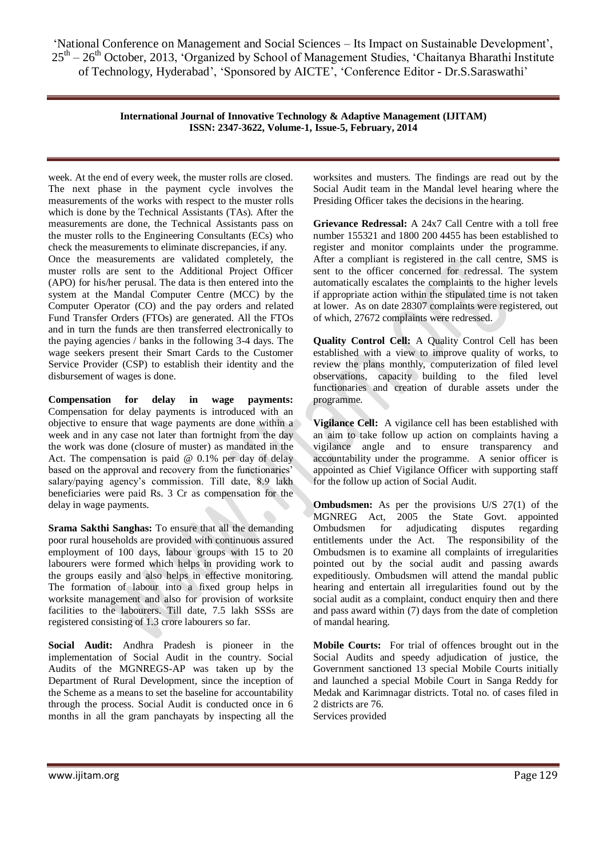> **International Journal of Innovative Technology & Adaptive Management (IJITAM) ISSN: 2347-3622, Volume-1, Issue-5, February, 2014**

week. At the end of every week, the muster rolls are closed. The next phase in the payment cycle involves the measurements of the works with respect to the muster rolls which is done by the Technical Assistants (TAs). After the measurements are done, the Technical Assistants pass on the muster rolls to the Engineering Consultants (ECs) who check the measurements to eliminate discrepancies, if any. Once the measurements are validated completely, the muster rolls are sent to the Additional Project Officer (APO) for his/her perusal. The data is then entered into the system at the Mandal Computer Centre (MCC) by the Computer Operator (CO) and the pay orders and related Fund Transfer Orders (FTOs) are generated. All the FTOs and in turn the funds are then transferred electronically to the paying agencies / banks in the following 3-4 days. The wage seekers present their Smart Cards to the Customer Service Provider (CSP) to establish their identity and the disbursement of wages is done.

**Compensation for delay in wage payments:** Compensation for delay payments is introduced with an objective to ensure that wage payments are done within a week and in any case not later than fortnight from the day the work was done (closure of muster) as mandated in the Act. The compensation is paid  $@$  0.1% per day of delay based on the approval and recovery from the functionaries' salary/paying agency's commission. Till date, 8.9 lakh beneficiaries were paid Rs. 3 Cr as compensation for the delay in wage payments.

**Srama Sakthi Sanghas:** To ensure that all the demanding poor rural households are provided with continuous assured employment of 100 days, labour groups with 15 to 20 labourers were formed which helps in providing work to the groups easily and also helps in effective monitoring. The formation of labour into a fixed group helps in worksite management and also for provision of worksite facilities to the labourers. Till date, 7.5 lakh SSSs are registered consisting of 1.3 crore labourers so far.

**Social Audit:** Andhra Pradesh is pioneer in the implementation of Social Audit in the country. Social Audits of the MGNREGS-AP was taken up by the Department of Rural Development, since the inception of the Scheme as a means to set the baseline for accountability through the process. Social Audit is conducted once in 6 months in all the gram panchayats by inspecting all the worksites and musters. The findings are read out by the Social Audit team in the Mandal level hearing where the Presiding Officer takes the decisions in the hearing.

**Grievance Redressal:** A 24x7 Call Centre with a toll free number 155321 and 1800 200 4455 has been established to register and monitor complaints under the programme. After a compliant is registered in the call centre, SMS is sent to the officer concerned for redressal. The system automatically escalates the complaints to the higher levels if appropriate action within the stipulated time is not taken at lower. As on date 28307 complaints were registered, out of which, 27672 complaints were redressed.

**Quality Control Cell:** A Quality Control Cell has been established with a view to improve quality of works, to review the plans monthly, computerization of filed level observations, capacity building to the filed level functionaries and creation of durable assets under the programme.

**Vigilance Cell:** A vigilance cell has been established with an aim to take follow up action on complaints having a vigilance angle and to ensure transparency and accountability under the programme. A senior officer is appointed as Chief Vigilance Officer with supporting staff for the follow up action of Social Audit.

**Ombudsmen:** As per the provisions U/S 27(1) of the MGNREG Act, 2005 the State Govt. appointed Ombudsmen for adjudicating disputes regarding entitlements under the Act. The responsibility of the Ombudsmen is to examine all complaints of irregularities pointed out by the social audit and passing awards expeditiously. Ombudsmen will attend the mandal public hearing and entertain all irregularities found out by the social audit as a complaint, conduct enquiry then and there and pass award within (7) days from the date of completion of mandal hearing.

**Mobile Courts:** For trial of offences brought out in the Social Audits and speedy adjudication of justice, the Government sanctioned 13 special Mobile Courts initially and launched a special Mobile Court in Sanga Reddy for Medak and Karimnagar districts. Total no. of cases filed in 2 districts are 76.

Services provided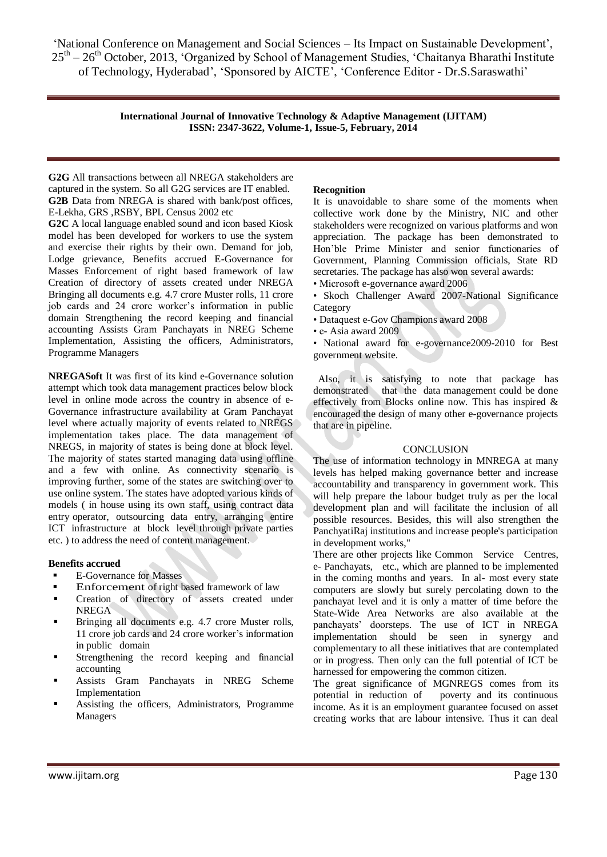> **International Journal of Innovative Technology & Adaptive Management (IJITAM) ISSN: 2347-3622, Volume-1, Issue-5, February, 2014**

**G2G** All transactions between all NREGA stakeholders are captured in the system. So all G2G services are IT enabled. **G2B** Data from NREGA is shared with bank/post offices, E-Lekha, GRS ,RSBY, BPL Census 2002 etc

**G2C** A local language enabled sound and icon based Kiosk model has been developed for workers to use the system and exercise their rights by their own. Demand for job, Lodge grievance, Benefits accrued E-Governance for Masses Enforcement of right based framework of law Creation of directory of assets created under NREGA Bringing all documents e.g. 4.7 crore Muster rolls, 11 crore job cards and 24 crore worker"s information in public domain Strengthening the record keeping and financial accounting Assists Gram Panchayats in NREG Scheme Implementation, Assisting the officers, Administrators, Programme Managers

**NREGASoft** It was first of its kind e-Governance solution attempt which took data management practices below block level in online mode across the country in absence of e-Governance infrastructure availability at Gram Panchayat level where actually majority of events related to NREGS implementation takes place. The data management of NREGS, in majority of states is being done at block level. The majority of states started managing data using offline and a few with online. As connectivity scenario is improving further, some of the states are switching over to use online system. The states have adopted various kinds of models ( in house using its own staff, using contract data entry operator, outsourcing data entry, arranging entire ICT infrastructure at block level through private parties etc. ) to address the need of content management.

## **Benefits accrued**

- E-Governance for Masses
- Enforcement of right based framework of law
- Creation of directory of assets created under NREGA
- Bringing all documents e.g. 4.7 crore Muster rolls, 11 crore job cards and 24 crore worker"s information in public domain
- Strengthening the record keeping and financial accounting
- Assists Gram Panchayats in NREG Scheme Implementation
- Assisting the officers, Administrators, Programme Managers

#### **Recognition**

It is unavoidable to share some of the moments when collective work done by the Ministry, NIC and other stakeholders were recognized on various platforms and won appreciation. The package has been demonstrated to Hon"ble Prime Minister and senior functionaries of Government, Planning Commission officials, State RD secretaries. The package has also won several awards:

- Microsoft e-governance award 2006
- Skoch Challenger Award 2007-National Significance Category
- Dataquest e-Gov Champions award 2008
- e- Asia award 2009

• National award for e-governance2009-2010 for Best government website.

 Also, it is satisfying to note that package has demonstrated that the data management could be done effectively from Blocks online now. This has inspired & encouraged the design of many other e-governance projects that are in pipeline.

## **CONCLUSION**

The use of information technology in MNREGA at many levels has helped making governance better and increase accountability and transparency in government work. This will help prepare the labour budget truly as per the local development plan and will facilitate the inclusion of all possible resources. Besides, this will also strengthen the PanchyatiRaj institutions and increase people's participation in development works,"

There are other projects like Common Service Centres, e- Panchayats, etc., which are planned to be implemented in the coming months and years. In al- most every state computers are slowly but surely percolating down to the panchayat level and it is only a matter of time before the State-Wide Area Networks are also available at the panchayats" doorsteps. The use of ICT in NREGA implementation should be seen in synergy and complementary to all these initiatives that are contemplated or in progress. Then only can the full potential of ICT be harnessed for empowering the common citizen.

The great significance of MGNREGS comes from its potential in reduction of poverty and its continuous income. As it is an employment guarantee focused on asset creating works that are labour intensive. Thus it can deal